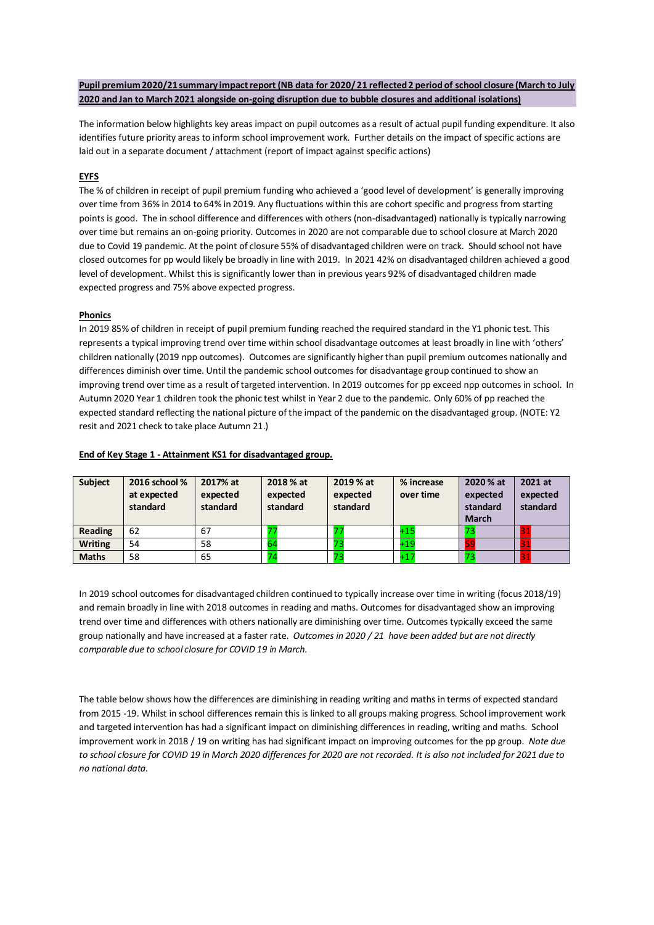# **Pupil premium 2020/21summary impact report (NB data for 2020/ 21 reflected 2 period of school closure (March to July 2020 and Jan to March 2021 alongside on-going disruption due to bubble closures and additional isolations)**

The information below highlights key areas impact on pupil outcomes as a result of actual pupil funding expenditure. It also identifies future priority areas to inform school improvement work. Further details on the impact of specific actions are laid out in a separate document / attachment (report of impact against specific actions)

# **EYFS**

The % of children in receipt of pupil premium funding who achieved a 'good level of development' is generally improving over time from 36% in 2014 to 64% in 2019. Any fluctuations within this are cohort specific and progress from starting points is good. The in school difference and differences with others (non-disadvantaged) nationally is typically narrowing over time but remains an on-going priority. Outcomes in 2020 are not comparable due to school closure at March 2020 due to Covid 19 pandemic. At the point of closure 55% of disadvantaged children were on track. Should school not have closed outcomes for pp would likely be broadly in line with 2019. In 2021 42% on disadvantaged children achieved a good level of development. Whilst this is significantly lower than in previous years 92% of disadvantaged children made expected progress and 75% above expected progress.

## **Phonics**

In 2019 85% of children in receipt of pupil premium funding reached the required standard in the Y1 phonic test. This represents a typical improving trend over time within school disadvantage outcomes at least broadly in line with 'others' children nationally (2019 npp outcomes). Outcomes are significantly higher than pupil premium outcomes nationally and differences diminish over time. Until the pandemic school outcomes for disadvantage group continued to show an improving trend over time as a result of targeted intervention. In 2019 outcomes for pp exceed npp outcomes in school. In Autumn 2020 Year 1 children took the phonic test whilst in Year 2 due to the pandemic. Only 60% of pp reached the expected standard reflecting the national picture of the impact of the pandemic on the disadvantaged group. (NOTE: Y2 resit and 2021 check to take place Autumn 21.)

| <b>Subject</b> | 2016 school %<br>at expected<br>standard | 2017% at<br>expected<br>standard | 2018 % at<br>expected<br>standard | 2019 % at<br>expected<br>standard | % increase<br>over time | 2020 % at<br>expected<br>standard<br><b>March</b> | 2021 at<br>expected<br>standard |
|----------------|------------------------------------------|----------------------------------|-----------------------------------|-----------------------------------|-------------------------|---------------------------------------------------|---------------------------------|
| Reading        | 62                                       | 67                               |                                   |                                   | $+15$                   |                                                   |                                 |
| <b>Writing</b> | 54                                       | 58                               |                                   |                                   | $+19$                   |                                                   |                                 |
| <b>Maths</b>   | 58                                       | 65                               |                                   |                                   | $+17$                   |                                                   |                                 |

#### **End of Key Stage 1 - Attainment KS1 for disadvantaged group.**

In 2019 school outcomes for disadvantaged children continued to typically increase over time in writing (focus 2018/19) and remain broadly in line with 2018 outcomes in reading and maths. Outcomes for disadvantaged show an improving trend over time and differences with others nationally are diminishing over time. Outcomes typically exceed the same group nationally and have increased at a faster rate. *Outcomes in 2020 / 21 have been added but are not directly comparable due to school closure for COVID 19 in March.*

The table below shows how the differences are diminishing in reading writing and maths in terms of expected standard from 2015 -19. Whilst in school differences remain this is linked to all groups making progress. School improvement work and targeted intervention has had a significant impact on diminishing differences in reading, writing and maths. School improvement work in 2018 / 19 on writing has had significant impact on improving outcomes for the pp group. *Note due to school closure for COVID 19 in March 2020 differences for 2020 are not recorded. It is also not included for 2021 due to no national data.*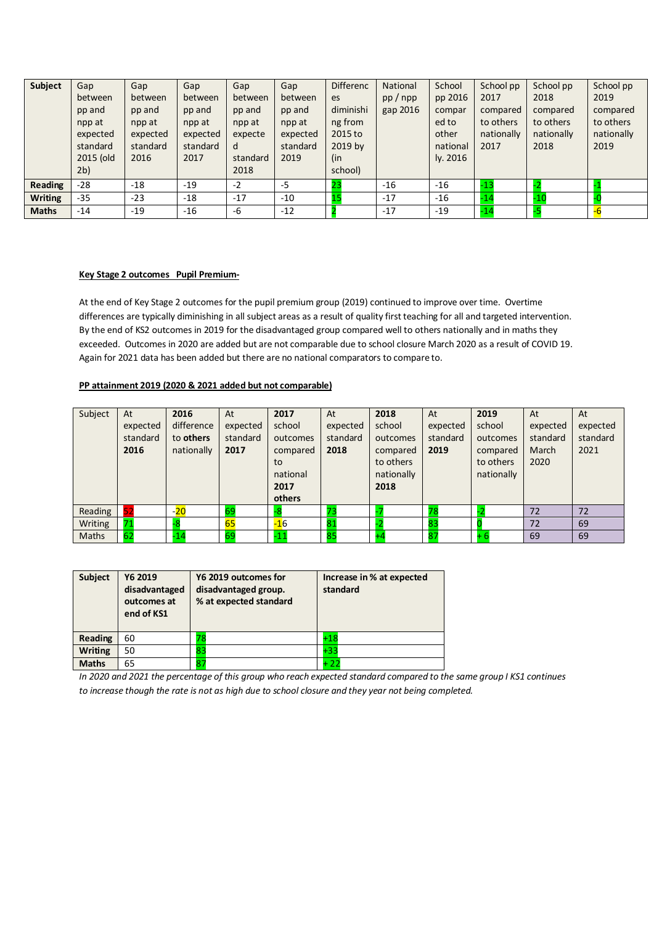| <b>Subject</b> | Gap            | Gap      | Gap      | Gap      | Gap      | <b>Differenc</b> | National | School   | School pp  | School pp  | School pp  |
|----------------|----------------|----------|----------|----------|----------|------------------|----------|----------|------------|------------|------------|
|                | between        | between  | between  | between  | between  | es               | pp/npp   | pp 2016  | 2017       | 2018       | 2019       |
|                | pp and         | pp and   | pp and   | pp and   | pp and   | diminishi        | gap 2016 | compar   | compared   | compared   | compared   |
|                | npp at         | npp at   | npp at   | npp at   | npp at   | ng from          |          | ed to    | to others  | to others  | to others  |
|                | expected       | expected | expected | expecte  | expected | 2015 to          |          | other    | nationally | nationally | nationally |
|                | standard       | standard | standard | d        | standard | 2019 by          |          | national | 2017       | 2018       | 2019       |
|                | 2015 (old      | 2016     | 2017     | standard | 2019     | (in              |          | ly. 2016 |            |            |            |
|                | 2 <sub>b</sub> |          |          | 2018     |          | school)          |          |          |            |            |            |
| Reading        | $-28$          | $-18$    | $-19$    | $-2$     | $-5$     | 23               | $-16$    | $-16$    | $-13$      |            |            |
| <b>Writing</b> | $-35$          | $-23$    | $-18$    | $-17$    | $-10$    |                  | $-17$    | $-16$    | $-14$      | $-10$      |            |
| <b>Maths</b>   | $-14$          | $-19$    | $-16$    | -6       | $-12$    |                  | $-17$    | $-19$    | $-14$      |            |            |

#### **Key Stage 2 outcomes Pupil Premium-**

At the end of Key Stage 2 outcomes for the pupil premium group (2019) continued to improve over time. Overtime differences are typically diminishing in all subject areas as a result of quality first teaching for all and targeted intervention. By the end of KS2 outcomes in 2019 for the disadvantaged group compared well to others nationally and in maths they exceeded. Outcomes in 2020 are added but are not comparable due to school closure March 2020 as a result of COVID 19. Again for 2021 data has been added but there are no national comparators to compare to.

# **PP attainment 2019 (2020 & 2021 added but not comparable)**

| Subject | At<br>expected<br>standard<br>2016 | 2016<br>difference<br>to others<br>nationally | At<br>expected<br>standard<br>2017 | 2017<br>school<br>outcomes<br>compared<br>to<br>national<br>2017<br>others | At<br>expected<br>standard<br>2018 | 2018<br>school<br>outcomes<br>compared<br>to others<br>nationally<br>2018 | At<br>expected<br>standard<br>2019 | 2019<br>school<br>outcomes<br>compared<br>to others<br>nationally | At<br>expected<br>standard<br>March<br>2020 | At<br>expected<br>standard<br>2021 |
|---------|------------------------------------|-----------------------------------------------|------------------------------------|----------------------------------------------------------------------------|------------------------------------|---------------------------------------------------------------------------|------------------------------------|-------------------------------------------------------------------|---------------------------------------------|------------------------------------|
| Reading |                                    | $-20$                                         | 69                                 |                                                                            |                                    |                                                                           | 78                                 |                                                                   | 72                                          | 72                                 |
| Writing |                                    | -8                                            | 65                                 | $-16$                                                                      | 81                                 |                                                                           | 83                                 |                                                                   | 72                                          | 69                                 |
| Maths   | 62                                 | $-14$                                         | 69                                 | $-11$                                                                      | 85                                 |                                                                           | 87                                 |                                                                   | 69                                          | 69                                 |

| <b>Subject</b> | Y6 2019<br>disadvantaged<br>outcomes at<br>end of KS1 | Y6 2019 outcomes for<br>disadvantaged group.<br>% at expected standard | Increase in % at expected<br>standard |
|----------------|-------------------------------------------------------|------------------------------------------------------------------------|---------------------------------------|
| Reading        | 60                                                    | 79                                                                     | $+18$                                 |
| <b>Writing</b> | 50                                                    | 83                                                                     | +33                                   |
| <b>Maths</b>   | 65                                                    | 87                                                                     | + 22                                  |

*In 2020 and 2021 the percentage of this group who reach expected standard compared to the same group I KS1 continues to increase though the rate is not as high due to school closure and they year not being completed.*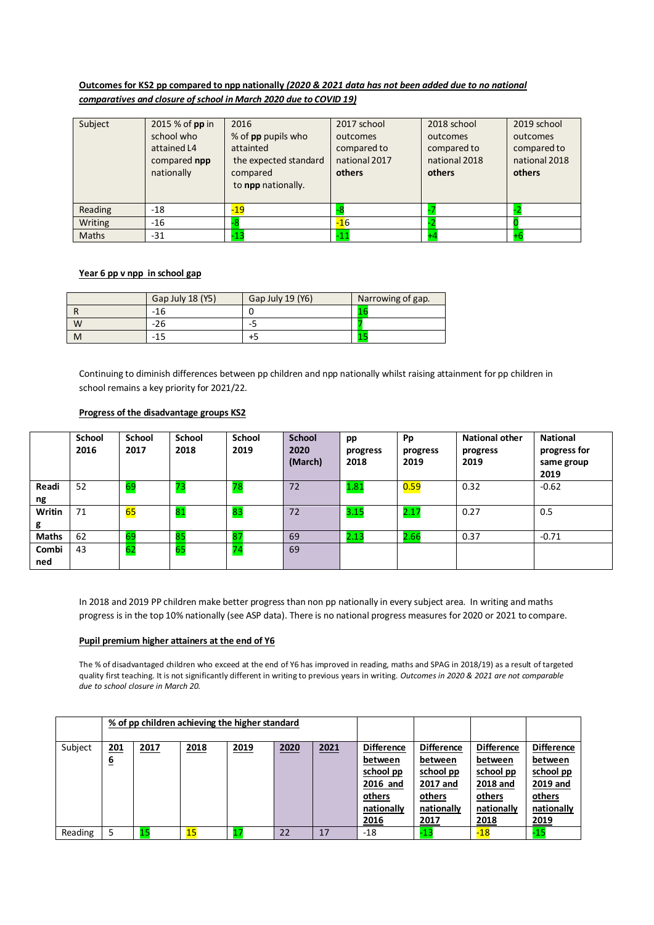# **Outcomes for KS2 pp compared to npp nationally** *(2020 & 2021 data has not been added due to no national comparatives and closure of school in March 2020 due to COVID 19)*

| Subject      | 2015 % of pp in<br>school who<br>attained L4<br>compared npp<br>nationally | 2016<br>% of <b>pp</b> pupils who<br>attainted<br>the expected standard<br>compared<br>to npp nationally. | 2017 school<br>outcomes<br>compared to<br>national 2017<br>others | 2018 school<br>outcomes<br>compared to<br>national 2018<br>others | 2019 school<br>outcomes<br>compared to<br>national 2018<br>others |
|--------------|----------------------------------------------------------------------------|-----------------------------------------------------------------------------------------------------------|-------------------------------------------------------------------|-------------------------------------------------------------------|-------------------------------------------------------------------|
| Reading      | $-18$                                                                      | $-19$                                                                                                     |                                                                   |                                                                   |                                                                   |
| Writing      | $-16$                                                                      |                                                                                                           | $-16$                                                             |                                                                   |                                                                   |
| <b>Maths</b> | $-31$                                                                      | $-13$                                                                                                     | $-11$                                                             |                                                                   |                                                                   |

### **Year 6 pp v npp in school gap**

|   | Gap July 18 (Y5) | Gap July 19 (Y6) | Narrowing of gap. |
|---|------------------|------------------|-------------------|
|   | -16              |                  |                   |
| W | -26              | -3               |                   |
| M |                  | +כ               |                   |

Continuing to diminish differences between pp children and npp nationally whilst raising attainment for pp children in school remains a key priority for 2021/22.

### **Progress of the disadvantage groups KS2**

|              | <b>School</b><br>2016 | <b>School</b><br>2017 | <b>School</b><br>2018 | <b>School</b><br>2019 | <b>School</b><br>2020<br>(March) | pp<br>progress<br>2018 | Pp<br>progress<br>2019 | <b>National other</b><br>progress<br>2019 | <b>National</b><br>progress for<br>same group<br>2019 |
|--------------|-----------------------|-----------------------|-----------------------|-----------------------|----------------------------------|------------------------|------------------------|-------------------------------------------|-------------------------------------------------------|
| Readi<br>ng  | 52                    | 69                    | 73                    | 78                    | 72                               | 1.81                   | 0.59                   | 0.32                                      | $-0.62$                                               |
| Writin       | 71                    | 65                    | 81                    | 83                    | 72                               | 3.15                   | 2.17                   | 0.27                                      | 0.5                                                   |
| g            |                       |                       |                       |                       |                                  |                        |                        |                                           |                                                       |
| <b>Maths</b> | 62                    | 69                    | 85                    | 87                    | 69                               | 2.13                   | 2.66                   | 0.37                                      | $-0.71$                                               |
| Combi        | 43                    | 62                    | 65                    | 74                    | 69                               |                        |                        |                                           |                                                       |
| ned          |                       |                       |                       |                       |                                  |                        |                        |                                           |                                                       |

In 2018 and 2019 PP children make better progress than non pp nationally in every subject area. In writing and maths progress is in the top 10% nationally (see ASP data). There is no national progress measures for 2020 or 2021 to compare.

## **Pupil premium higher attainers at the end of Y6**

The % of disadvantaged children who exceed at the end of Y6 has improved in reading, maths and SPAG in 2018/19) as a result of targeted quality first teaching. It is not significantly different in writing to previous years in writing. *Outcomes in 2020 & 2021 are not comparable due to school closure in March 20.* 

|         |                        |      | % of pp children achieving the higher standard |      |      |      |                                                                                              |                                                                                              |                                                                                       |                                                                                              |
|---------|------------------------|------|------------------------------------------------|------|------|------|----------------------------------------------------------------------------------------------|----------------------------------------------------------------------------------------------|---------------------------------------------------------------------------------------|----------------------------------------------------------------------------------------------|
| Subject | <u>201</u><br><u>6</u> | 2017 | 2018                                           | 2019 | 2020 | 2021 | <b>Difference</b><br>between<br>school pp<br>2016 and<br>others<br>nationally<br><u>2016</u> | <b>Difference</b><br>between<br>school pp<br>2017 and<br>others<br>nationally<br><u>2017</u> | <b>Difference</b><br>between<br>school pp<br>2018 and<br>others<br>nationally<br>2018 | <b>Difference</b><br>between<br>school pp<br>2019 and<br><b>others</b><br>nationally<br>2019 |
| Reading |                        |      | 15                                             |      | 22   | 17   | $-18$                                                                                        | $-13$                                                                                        | $-18$                                                                                 | -15                                                                                          |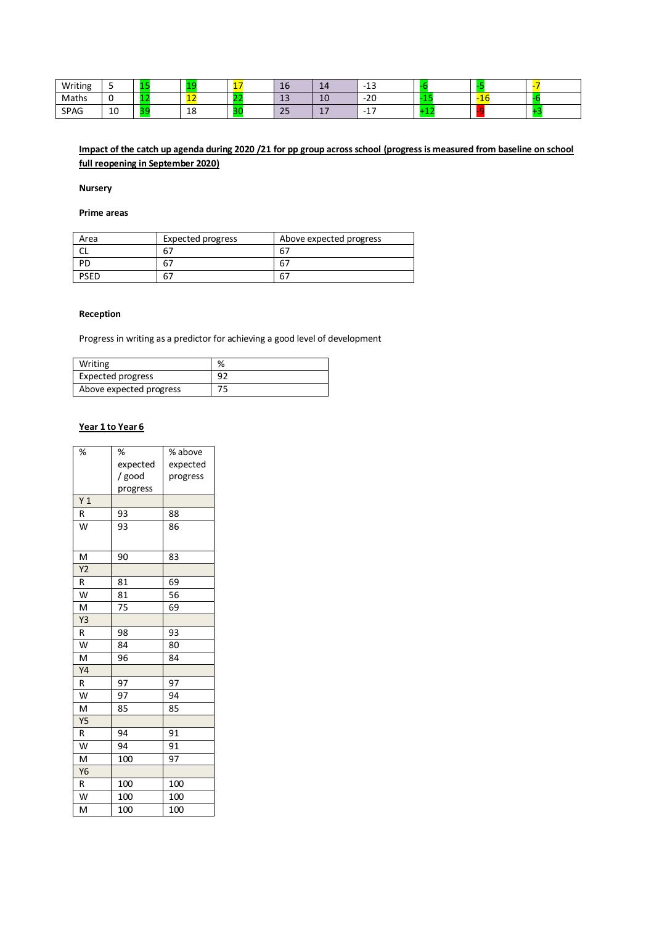| Writing | -<br>-   |   |          | - | - | Τp                   | --                                                                                                                                     | $\sim$<br>$-$ .<br>--                |                  |        |  |
|---------|----------|---|----------|---|---|----------------------|----------------------------------------------------------------------------------------------------------------------------------------|--------------------------------------|------------------|--------|--|
| Maths   |          |   | --       |   |   | $\sim$<br>ᅩ          | 10                                                                                                                                     | $\Omega$<br>ے۔                       | <b>ALC</b><br>.  | -<br>. |  |
| SPAG    | 10<br>__ | - | 18<br>__ | - |   | $\sim$ $\sim$<br>ر ے | - 1<br>$\mathcal{L}^{\text{max}}_{\text{max}}$ and $\mathcal{L}^{\text{max}}_{\text{max}}$ and $\mathcal{L}^{\text{max}}_{\text{max}}$ | $\overline{\phantom{a}}$<br>-<br>. . | <b>A</b> 1<br>-- |        |  |

# **Impact of the catch up agenda during 2020 /21 for pp group across school (progress is measured from baseline on school full reopening in September 2020)**

### **Nursery**

# **Prime areas**

| Area        | <b>Expected progress</b> | Above expected progress |
|-------------|--------------------------|-------------------------|
|             | 67                       | 67                      |
| PD          | 67                       | 67                      |
| <b>PSED</b> | 67                       | 67                      |

#### **Reception**

Progress in writing as a predictor for achieving a good level of development

| Writing                 | %  |
|-------------------------|----|
| Expected progress       | റാ |
| Above expected progress |    |

# **Year 1 to Year 6**

| %              | %        | % above  |
|----------------|----------|----------|
|                | expected | expected |
|                | / good   | progress |
|                | progress |          |
| Y <sub>1</sub> |          |          |
| R              | 93       | 88       |
| W              | 93       | 86       |
| M              | 90       | 83       |
| Y <sub>2</sub> |          |          |
| R              | 81       | 69       |
| W              | 81       | 56       |
| M              | 75       | 69       |
| Y3             |          |          |
| R              | 98       | 93       |
| W              | 84       | 80       |
| M              | 96       | 84       |
| Υ4             |          |          |
| R              | 97       | 97       |
| W              | 97       | 94       |
| M              | 85       | 85       |
| <b>Y5</b>      |          |          |
| R              | 94       | 91       |
| W              | 94       | 91       |
| M              | 100      | 97       |
| Y6             |          |          |
| R              | 100      | 100      |
| W              | 100      | 100      |
| M              | 100      | 100      |